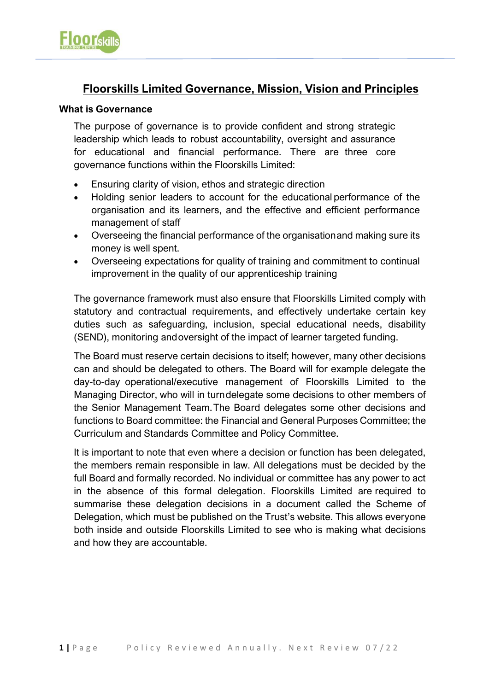

# **Floorskills Limited Governance, Mission, Vision and Principles**

#### **What is Governance**

The purpose of governance is to provide confident and strong strategic leadership which leads to robust accountability, oversight and assurance for educational and financial performance. There are three core governance functions within the Floorskills Limited:

- Ensuring clarity of vision, ethos and strategic direction
- Holding senior leaders to account for the educational performance of the organisation and its learners, and the effective and efficient performance management of staff
- Overseeing the financial performance of the organisationand making sure its money is well spent.
- Overseeing expectations for quality of training and commitment to continual improvement in the quality of our apprenticeship training

The governance framework must also ensure that Floorskills Limited comply with statutory and contractual requirements, and effectively undertake certain key duties such as safeguarding, inclusion, special educational needs, disability (SEND), monitoring andoversight of the impact of learner targeted funding.

The Board must reserve certain decisions to itself; however, many other decisions can and should be delegated to others. The Board will for example delegate the day-to-day operational/executive management of Floorskills Limited to the Managing Director, who will in turndelegate some decisions to other members of the Senior Management Team.The Board delegates some other decisions and functions to Board committee: the Financial and General Purposes Committee; the Curriculum and Standards Committee and Policy Committee.

It is important to note that even where a decision or function has been delegated, the members remain responsible in law. All delegations must be decided by the full Board and formally recorded. No individual or committee has any power to act in the absence of this formal delegation. Floorskills Limited are required to summarise these delegation decisions in a document called the Scheme of Delegation, which must be published on the Trust's website. This allows everyone both inside and outside Floorskills Limited to see who is making what decisions and how they are accountable.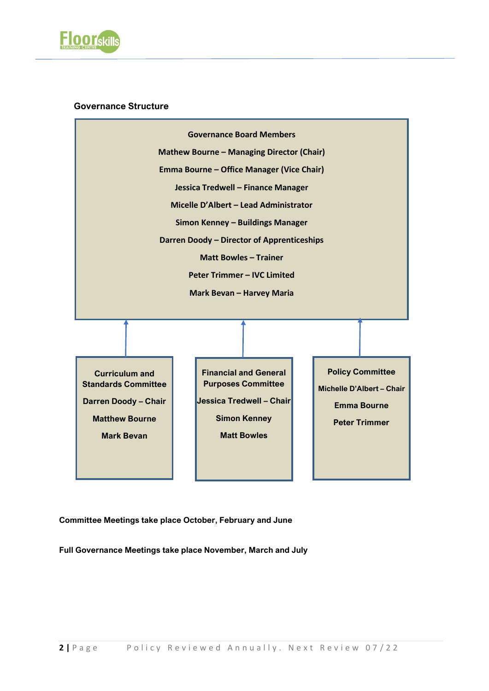

#### **Governance Structure**



**Committee Meetings take place October, February and June**

**Full Governance Meetings take place November, March and July**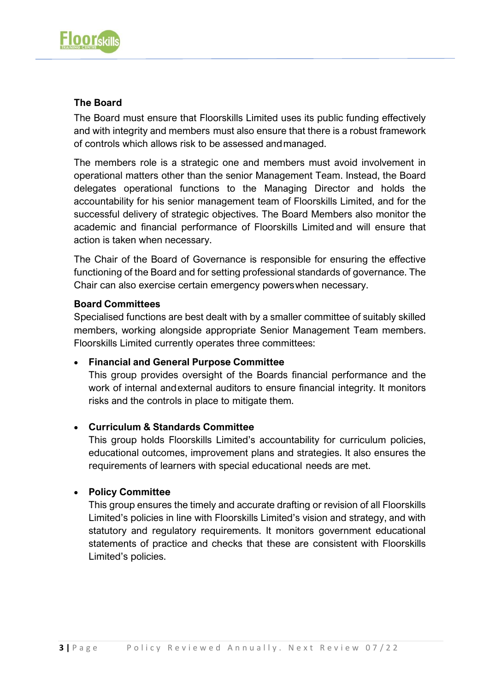

# **The Board**

The Board must ensure that Floorskills Limited uses its public funding effectively and with integrity and members must also ensure that there is a robust framework of controls which allows risk to be assessed andmanaged.

The members role is a strategic one and members must avoid involvement in operational matters other than the senior Management Team. Instead, the Board delegates operational functions to the Managing Director and holds the accountability for his senior management team of Floorskills Limited, and for the successful delivery of strategic objectives. The Board Members also monitor the academic and financial performance of Floorskills Limited and will ensure that action is taken when necessary.

The Chair of the Board of Governance is responsible for ensuring the effective functioning of the Board and for setting professional standards of governance. The Chair can also exercise certain emergency powerswhen necessary.

#### **Board Committees**

Specialised functions are best dealt with by a smaller committee of suitably skilled members, working alongside appropriate Senior Management Team members. Floorskills Limited currently operates three committees:

# • **Financial and General Purpose Committee**

This group provides oversight of the Boards financial performance and the work of internal andexternal auditors to ensure financial integrity. It monitors risks and the controls in place to mitigate them.

# • **Curriculum & Standards Committee**

This group holds Floorskills Limited's accountability for curriculum policies, educational outcomes, improvement plans and strategies. It also ensures the requirements of learners with special educational needs are met.

# • **Policy Committee**

This group ensures the timely and accurate drafting or revision of all Floorskills Limited's policies in line with Floorskills Limited's vision and strategy, and with statutory and regulatory requirements. It monitors government educational statements of practice and checks that these are consistent with Floorskills Limited's policies.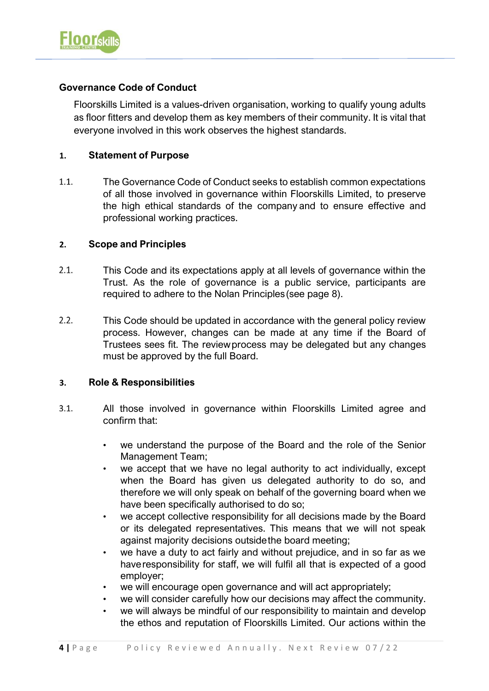

# **Governance Code of Conduct**

Floorskills Limited is a values-driven organisation, working to qualify young adults as floor fitters and develop them as key members of their community. It is vital that everyone involved in this work observes the highest standards.

#### **1. Statement of Purpose**

 $1.1.$ The Governance Code of Conduct seeks to establish common expectations of all those involved in governance within Floorskills Limited, to preserve the high ethical standards of the company and to ensure effective and professional working practices.

#### **2. Scope and Principles**

- $2.1.$ This Code and its expectations apply at all levels of governance within the Trust. As the role of governance is a public service, participants are required to adhere to the Nolan Principles(see page 8).
- $2.2.$ This Code should be updated in accordance with the general policy review process. However, changes can be made at any time if the Board of Trustees sees fit. The reviewprocess may be delegated but any changes must be approved by the full Board.

#### **3. Role & Responsibilities**

- $3.1.$ All those involved in governance within Floorskills Limited agree and confirm that:
	- we understand the purpose of the Board and the role of the Senior Management Team;
	- we accept that we have no legal authority to act individually, except when the Board has given us delegated authority to do so, and therefore we will only speak on behalf of the governing board when we have been specifically authorised to do so;
	- we accept collective responsibility for all decisions made by the Board or its delegated representatives. This means that we will not speak against majority decisions outsidethe board meeting;
	- we have a duty to act fairly and without prejudice, and in so far as we haveresponsibility for staff, we will fulfil all that is expected of a good employer;
	- we will encourage open governance and will act appropriately;
	- we will consider carefully how our decisions may affect the community.
	- we will always be mindful of our responsibility to maintain and develop the ethos and reputation of Floorskills Limited. Our actions within the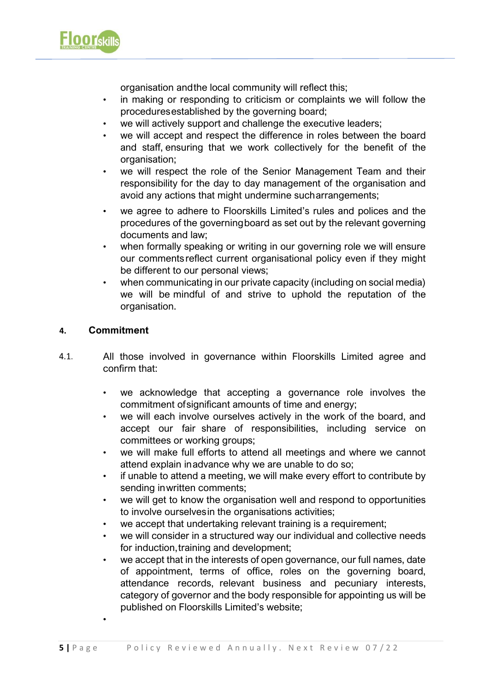

organisation andthe local community will reflect this;

- in making or responding to criticism or complaints we will follow the proceduresestablished by the governing board;
- we will actively support and challenge the executive leaders;
- we will accept and respect the difference in roles between the board and staff, ensuring that we work collectively for the benefit of the organisation;
- we will respect the role of the Senior Management Team and their responsibility for the day to day management of the organisation and avoid any actions that might undermine sucharrangements;
- we agree to adhere to Floorskills Limited's rules and polices and the procedures of the governingboard as set out by the relevant governing documents and law;
- when formally speaking or writing in our governing role we will ensure our comments reflect current organisational policy even if they might be different to our personal views;
- when communicating in our private capacity (including on social media) we will be mindful of and strive to uphold the reputation of the organisation.

# **4. Commitment**

•

- $4.1.$ All those involved in governance within Floorskills Limited agree and confirm that:
	- we acknowledge that accepting a governance role involves the commitment ofsignificant amounts of time and energy;
	- we will each involve ourselves actively in the work of the board, and accept our fair share of responsibilities, including service on committees or working groups;
	- we will make full efforts to attend all meetings and where we cannot attend explain inadvance why we are unable to do so;
	- if unable to attend a meeting, we will make every effort to contribute by sending inwritten comments;
	- we will get to know the organisation well and respond to opportunities to involve ourselvesin the organisations activities;
	- we accept that undertaking relevant training is a requirement;
	- we will consider in a structured way our individual and collective needs for induction, training and development;
	- we accept that in the interests of open governance, our full names, date of appointment, terms of office, roles on the governing board, attendance records, relevant business and pecuniary interests, category of governor and the body responsible for appointing us will be published on Floorskills Limited's website;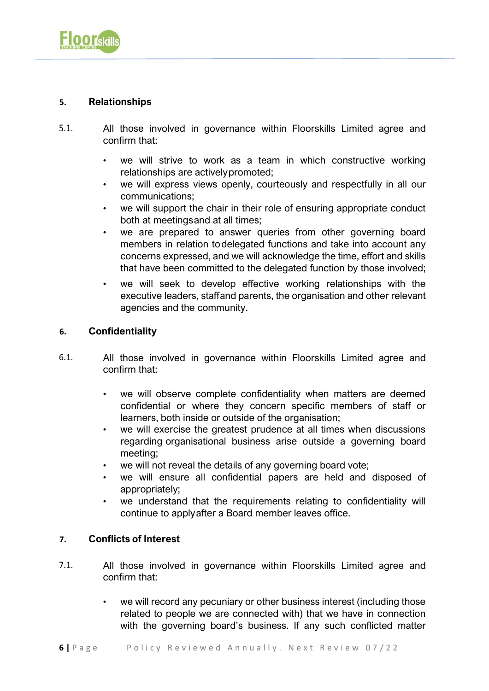

### **5. Relationships**

- $5.1.$ All those involved in governance within Floorskills Limited agree and confirm that:
	- we will strive to work as a team in which constructive working relationships are activelypromoted;
	- we will express views openly, courteously and respectfully in all our communications;
	- we will support the chair in their role of ensuring appropriate conduct both at meetingsand at all times;
	- we are prepared to answer queries from other governing board members in relation todelegated functions and take into account any concerns expressed, and we will acknowledge the time, effort and skills that have been committed to the delegated function by those involved;
	- we will seek to develop effective working relationships with the executive leaders, staffand parents, the organisation and other relevant agencies and the community.

#### **6. Confidentiality**

- $6.1.$ All those involved in governance within Floorskills Limited agree and confirm that:
	- we will observe complete confidentiality when matters are deemed confidential or where they concern specific members of staff or learners, both inside or outside of the organisation;
	- we will exercise the greatest prudence at all times when discussions regarding organisational business arise outside a governing board meeting;
	- we will not reveal the details of any governing board vote;
	- we will ensure all confidential papers are held and disposed of appropriately;
	- we understand that the requirements relating to confidentiality will continue to applyafter a Board member leaves office.

# **7. Conflicts of Interest**

- $7.1.$ All those involved in governance within Floorskills Limited agree and confirm that:
	- we will record any pecuniary or other business interest (including those related to people we are connected with) that we have in connection with the governing board's business. If any such conflicted matter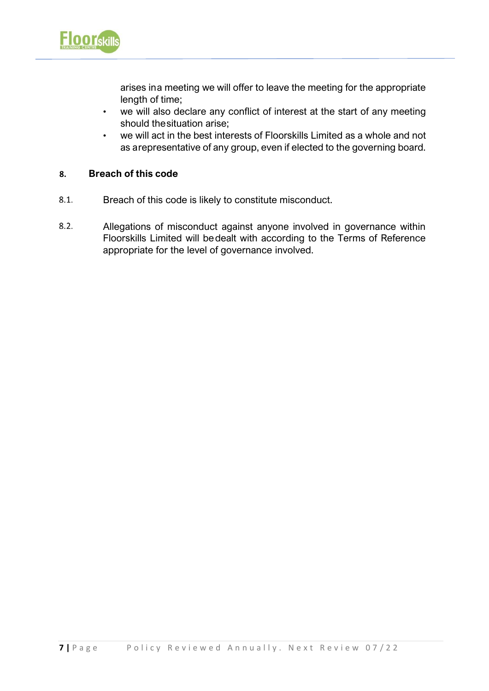

arises ina meeting we will offer to leave the meeting for the appropriate length of time;

- we will also declare any conflict of interest at the start of any meeting should thesituation arise;
- we will act in the best interests of Floorskills Limited as a whole and not as arepresentative of any group, even if elected to the governing board.

#### **8. Breach of this code**

- $8.1.$ Breach of this code is likely to constitute misconduct.
- $8.2.$ Allegations of misconduct against anyone involved in governance within Floorskills Limited will bedealt with according to the Terms of Reference appropriate for the level of governance involved.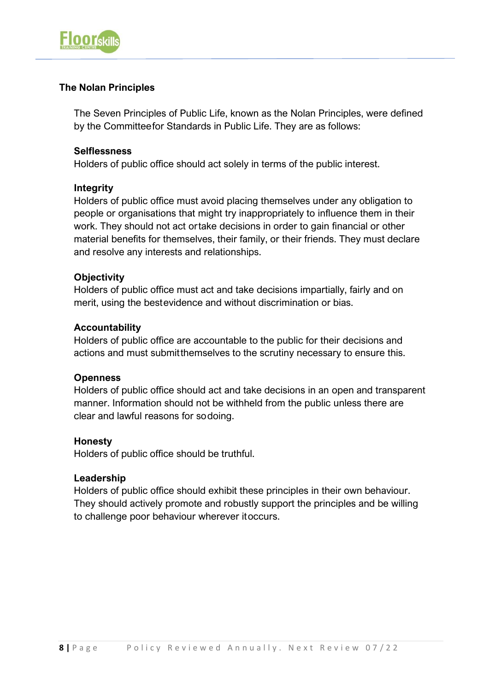

# **The Nolan Principles**

The Seven Principles of Public Life, known as the Nolan Principles, were defined by the Committeefor Standards in Public Life. They are as follows:

# **Selflessness**

Holders of public office should act solely in terms of the public interest.

# **Integrity**

Holders of public office must avoid placing themselves under any obligation to people or organisations that might try inappropriately to influence them in their work. They should not act ortake decisions in order to gain financial or other material benefits for themselves, their family, or their friends. They must declare and resolve any interests and relationships.

# **Objectivity**

Holders of public office must act and take decisions impartially, fairly and on merit, using the bestevidence and without discrimination or bias.

# **Accountability**

Holders of public office are accountable to the public for their decisions and actions and must submitthemselves to the scrutiny necessary to ensure this.

# **Openness**

Holders of public office should act and take decisions in an open and transparent manner. Information should not be withheld from the public unless there are clear and lawful reasons for sodoing.

# **Honesty**

Holders of public office should be truthful.

# **Leadership**

Holders of public office should exhibit these principles in their own behaviour. They should actively promote and robustly support the principles and be willing to challenge poor behaviour wherever itoccurs.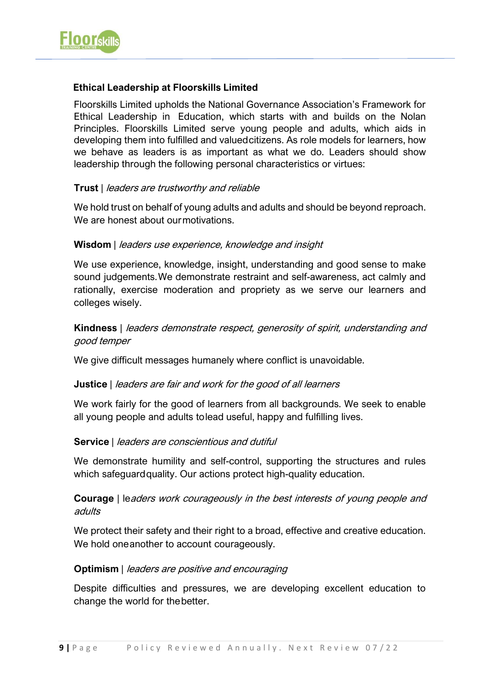

# **Ethical Leadership at Floorskills Limited**

Floorskills Limited upholds the National Governance Association's Framework for Ethical Leadership in Education, which starts with and builds on the Nolan Principles. Floorskills Limited serve young people and adults, which aids in developing them into fulfilled and valuedcitizens. As role models for learners, how we behave as leaders is as important as what we do. Leaders should show leadership through the following personal characteristics or virtues:

#### **Trust** | leaders are trustworthy and reliable

We hold trust on behalf of young adults and adults and should be beyond reproach. We are honest about our motivations.

#### **Wisdom** | leaders use experience, knowledge and insight

We use experience, knowledge, insight, understanding and good sense to make sound judgements.We demonstrate restraint and self-awareness, act calmly and rationally, exercise moderation and propriety as we serve our learners and colleges wisely.

# **Kindness** | leaders demonstrate respect, generosity of spirit, understanding and good temper

We give difficult messages humanely where conflict is unavoidable.

### **Justice** | leaders are fair and work for the good of all learners

We work fairly for the good of learners from all backgrounds. We seek to enable all young people and adults tolead useful, happy and fulfilling lives.

#### **Service** | leaders are conscientious and dutiful

We demonstrate humility and self-control, supporting the structures and rules which safequard quality. Our actions protect high-quality education.

# **Courage** | leaders work courageously in the best interests of young people and adults

We protect their safety and their right to a broad, effective and creative education. We hold one another to account courageously.

#### **Optimism** | leaders are positive and encouraging

Despite difficulties and pressures, we are developing excellent education to change the world for thebetter.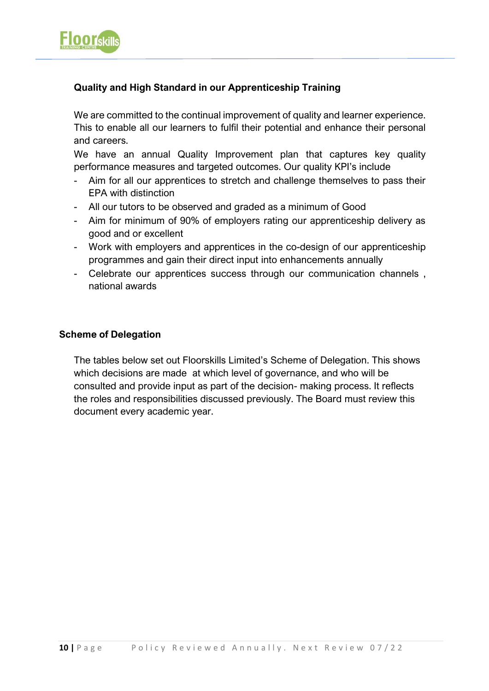

# **Quality and High Standard in our Apprenticeship Training**

We are committed to the continual improvement of quality and learner experience. This to enable all our learners to fulfil their potential and enhance their personal and careers.

We have an annual Quality Improvement plan that captures key quality performance measures and targeted outcomes. Our quality KPI's include

- Aim for all our apprentices to stretch and challenge themselves to pass their EPA with distinction
- All our tutors to be observed and graded as a minimum of Good
- Aim for minimum of 90% of employers rating our apprenticeship delivery as good and or excellent
- Work with employers and apprentices in the co-design of our apprenticeship programmes and gain their direct input into enhancements annually
- Celebrate our apprentices success through our communication channels , national awards

#### **Scheme of Delegation**

The tables below set out Floorskills Limited's Scheme of Delegation. This shows which decisions are made at which level of governance, and who will be consulted and provide input as part of the decision- making process. It reflects the roles and responsibilities discussed previously. The Board must review this document every academic year.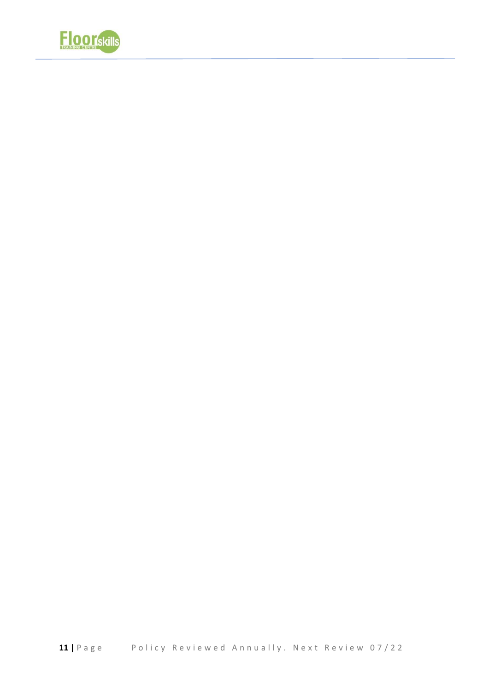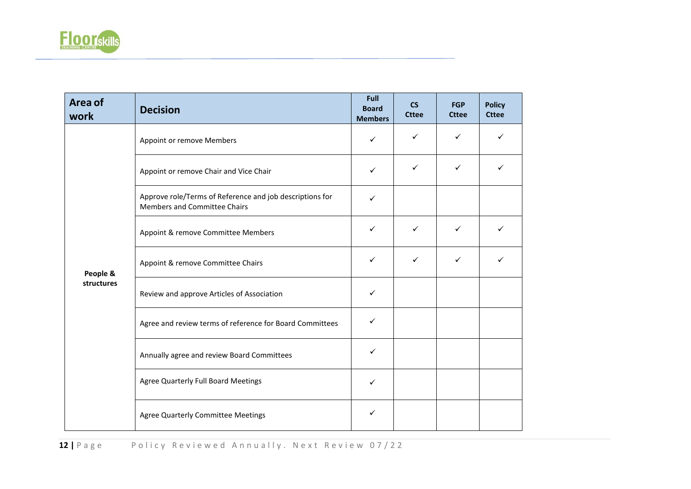

| Area of<br>work        | <b>Decision</b>                                                                                 | Full<br><b>Board</b><br><b>Members</b> | CS<br><b>Cttee</b> | <b>FGP</b><br><b>Cttee</b> | <b>Policy</b><br><b>Cttee</b> |
|------------------------|-------------------------------------------------------------------------------------------------|----------------------------------------|--------------------|----------------------------|-------------------------------|
| People &<br>structures | Appoint or remove Members                                                                       | $\checkmark$                           | ✓                  | ✓                          |                               |
|                        | Appoint or remove Chair and Vice Chair                                                          | $\checkmark$                           | $\checkmark$       | $\checkmark$               |                               |
|                        | Approve role/Terms of Reference and job descriptions for<br><b>Members and Committee Chairs</b> | ✓                                      |                    |                            |                               |
|                        | Appoint & remove Committee Members                                                              | ✓                                      | $\checkmark$       | ✓                          |                               |
|                        | Appoint & remove Committee Chairs                                                               | ✓                                      | ✓                  | ✓                          |                               |
|                        | Review and approve Articles of Association                                                      | ✓                                      |                    |                            |                               |
|                        | Agree and review terms of reference for Board Committees                                        | ✓                                      |                    |                            |                               |
|                        | Annually agree and review Board Committees                                                      | ✓                                      |                    |                            |                               |
|                        | Agree Quarterly Full Board Meetings                                                             | ✓                                      |                    |                            |                               |
|                        | Agree Quarterly Committee Meetings                                                              | ✓                                      |                    |                            |                               |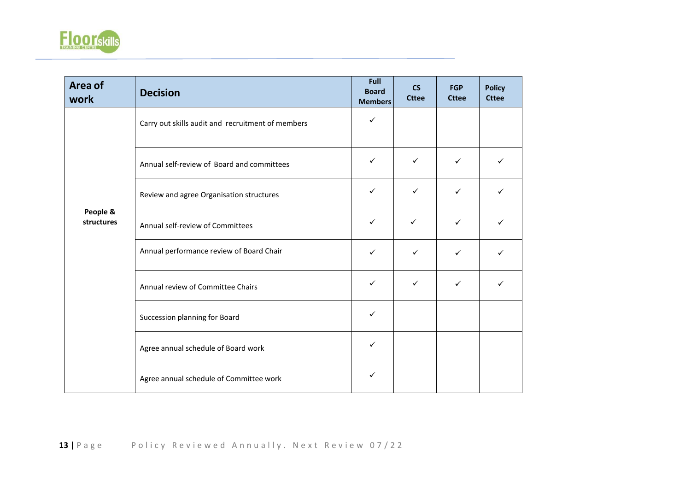

| Area of<br>work        | <b>Decision</b>                                   | <b>Full</b><br><b>Board</b><br><b>Members</b> | <b>CS</b><br><b>Cttee</b> | <b>FGP</b><br><b>Cttee</b> | <b>Policy</b><br><b>Cttee</b> |
|------------------------|---------------------------------------------------|-----------------------------------------------|---------------------------|----------------------------|-------------------------------|
| People &<br>structures | Carry out skills audit and recruitment of members | $\checkmark$                                  |                           |                            |                               |
|                        | Annual self-review of Board and committees        | ✓                                             | $\checkmark$              | ✓                          | ✓                             |
|                        | Review and agree Organisation structures          | $\checkmark$                                  | $\checkmark$              | ✓                          | ✓                             |
|                        | Annual self-review of Committees                  | $\checkmark$                                  | $\checkmark$              | $\checkmark$               | ✓                             |
|                        | Annual performance review of Board Chair          | $\checkmark$                                  | $\checkmark$              | ✓                          | ✓                             |
|                        | Annual review of Committee Chairs                 | $\checkmark$                                  | $\checkmark$              | $\checkmark$               | ✓                             |
|                        | Succession planning for Board                     | $\checkmark$                                  |                           |                            |                               |
|                        | Agree annual schedule of Board work               | ✓                                             |                           |                            |                               |
|                        | Agree annual schedule of Committee work           | ✓                                             |                           |                            |                               |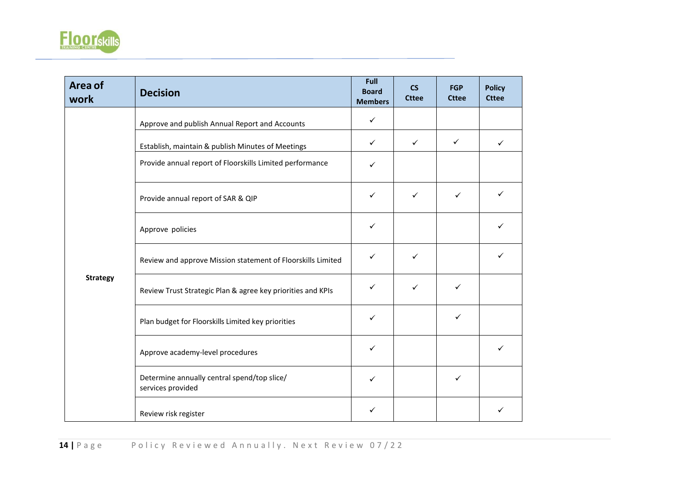

| Area of<br>work | <b>Decision</b>                                                  | Full<br><b>Board</b><br><b>Members</b> | $\mathsf{CS}\phantom{0}$<br><b>Cttee</b> | <b>FGP</b><br><b>Cttee</b> | <b>Policy</b><br><b>Cttee</b> |
|-----------------|------------------------------------------------------------------|----------------------------------------|------------------------------------------|----------------------------|-------------------------------|
| <b>Strategy</b> | Approve and publish Annual Report and Accounts                   | $\checkmark$                           |                                          |                            |                               |
|                 | Establish, maintain & publish Minutes of Meetings                | $\checkmark$                           | $\checkmark$                             | $\checkmark$               | ✓                             |
|                 | Provide annual report of Floorskills Limited performance         | ✓                                      |                                          |                            |                               |
|                 | Provide annual report of SAR & QIP                               | ✓                                      | ✓                                        | ✓                          |                               |
|                 | Approve policies                                                 | $\checkmark$                           |                                          |                            | ✓                             |
|                 | Review and approve Mission statement of Floorskills Limited      | ✓                                      | ✓                                        |                            |                               |
|                 | Review Trust Strategic Plan & agree key priorities and KPIs      | ✓                                      | ✓                                        | ✓                          |                               |
|                 | Plan budget for Floorskills Limited key priorities               | ✓                                      |                                          | ✓                          |                               |
|                 | Approve academy-level procedures                                 | ✓                                      |                                          |                            | ✓                             |
|                 | Determine annually central spend/top slice/<br>services provided | ✓                                      |                                          | ✓                          |                               |
|                 | Review risk register                                             | $\checkmark$                           |                                          |                            |                               |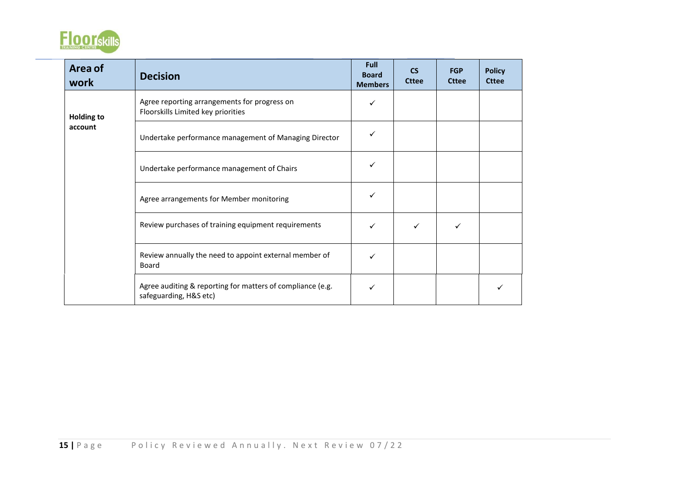

| Area of<br>work              | <b>Decision</b>                                                                      | <b>Full</b><br><b>Board</b><br><b>Members</b> | $\mathsf{CS}$<br><b>Cttee</b> | <b>FGP</b><br><b>Cttee</b> | <b>Policy</b><br><b>Cttee</b> |
|------------------------------|--------------------------------------------------------------------------------------|-----------------------------------------------|-------------------------------|----------------------------|-------------------------------|
| <b>Holding to</b><br>account | Agree reporting arrangements for progress on<br>Floorskills Limited key priorities   | ✓                                             |                               |                            |                               |
|                              | Undertake performance management of Managing Director                                | ✓                                             |                               |                            |                               |
|                              | Undertake performance management of Chairs                                           | ✓                                             |                               |                            |                               |
|                              | Agree arrangements for Member monitoring                                             | ✓                                             |                               |                            |                               |
|                              | Review purchases of training equipment requirements                                  |                                               | ✓                             |                            |                               |
|                              | Review annually the need to appoint external member of<br>Board                      |                                               |                               |                            |                               |
|                              | Agree auditing & reporting for matters of compliance (e.g.<br>safeguarding, H&S etc) | ✓                                             |                               |                            |                               |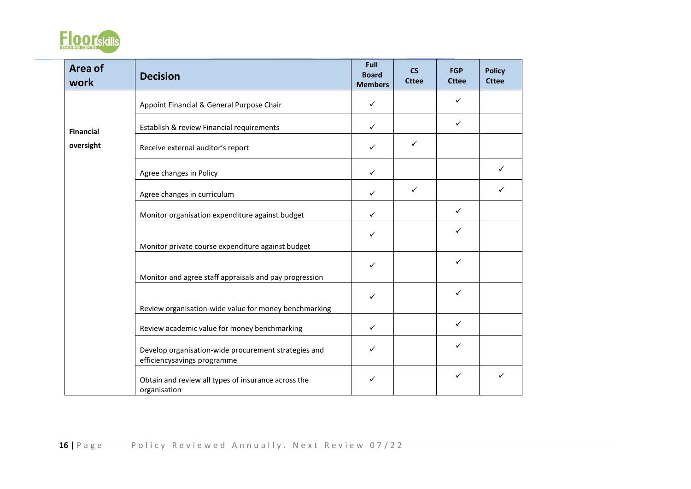

| Area of<br>work               | <b>Decision</b>                                                                     | Full<br><b>Board</b><br><b>Members</b> | $\mathsf{CS}\phantom{0}$<br><b>Cttee</b> | <b>FGP</b><br><b>Cttee</b> | <b>Policy</b><br><b>Cttee</b> |
|-------------------------------|-------------------------------------------------------------------------------------|----------------------------------------|------------------------------------------|----------------------------|-------------------------------|
| <b>Financial</b><br>oversight | Appoint Financial & General Purpose Chair                                           | $\checkmark$                           |                                          | ✓                          |                               |
|                               | Establish & review Financial requirements                                           | $\checkmark$                           |                                          | $\checkmark$               |                               |
|                               | Receive external auditor's report                                                   | $\checkmark$                           | $\checkmark$                             |                            |                               |
|                               | Agree changes in Policy                                                             | $\checkmark$                           |                                          |                            | ✓                             |
|                               | Agree changes in curriculum                                                         | $\checkmark$                           | $\checkmark$                             |                            |                               |
|                               | Monitor organisation expenditure against budget                                     | $\checkmark$                           |                                          | $\checkmark$               |                               |
|                               | Monitor private course expenditure against budget                                   | ✓                                      |                                          | ✓                          |                               |
|                               | Monitor and agree staff appraisals and pay progression                              | $\checkmark$                           |                                          | ✓                          |                               |
|                               | Review organisation-wide value for money benchmarking                               | ✓                                      |                                          | ✓                          |                               |
|                               | Review academic value for money benchmarking                                        | $\checkmark$                           |                                          | ✓                          |                               |
|                               | Develop organisation-wide procurement strategies and<br>efficiencysavings programme | ✓                                      |                                          | ✓                          |                               |
|                               | Obtain and review all types of insurance across the<br>organisation                 | ✓                                      |                                          | ✓                          |                               |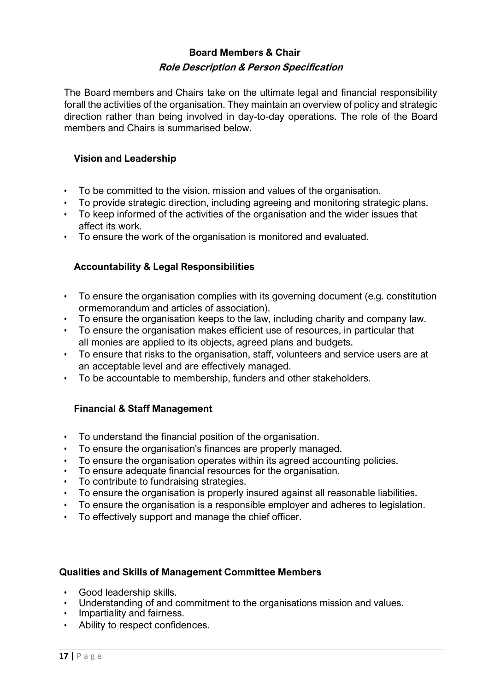# **Board Members & Chair Role Description & Person Specification**

The Board members and Chairs take on the ultimate legal and financial responsibility forall the activities of the organisation. They maintain an overview of policy and strategic direction rather than being involved in day-to-day operations. The role of the Board members and Chairs is summarised below.

# **Vision and Leadership**

- To be committed to the vision, mission and values of the organisation.
- To provide strategic direction, including agreeing and monitoring strategic plans.
- To keep informed of the activities of the organisation and the wider issues that affect its work.
- To ensure the work of the organisation is monitored and evaluated.

# **Accountability & Legal Responsibilities**

- To ensure the organisation complies with its governing document (e.g. constitution ormemorandum and articles of association).
- To ensure the organisation keeps to the law, including charity and company law.
- To ensure the organisation makes efficient use of resources, in particular that all monies are applied to its objects, agreed plans and budgets.
- To ensure that risks to the organisation, staff, volunteers and service users are at an acceptable level and are effectively managed.
- To be accountable to membership, funders and other stakeholders.

# **Financial & Staff Management**

- To understand the financial position of the organisation.
- To ensure the organisation's finances are properly managed.
- To ensure the organisation operates within its agreed accounting policies.
- To ensure adequate financial resources for the organisation.
- To contribute to fundraising strategies.
- To ensure the organisation is properly insured against all reasonable liabilities.
- To ensure the organisation is a responsible employer and adheres to legislation.
- To effectively support and manage the chief officer.

# **Qualities and Skills of Management Committee Members**

- Good leadership skills.
- Understanding of and commitment to the organisations mission and values.
- Impartiality and fairness.
- Ability to respect confidences.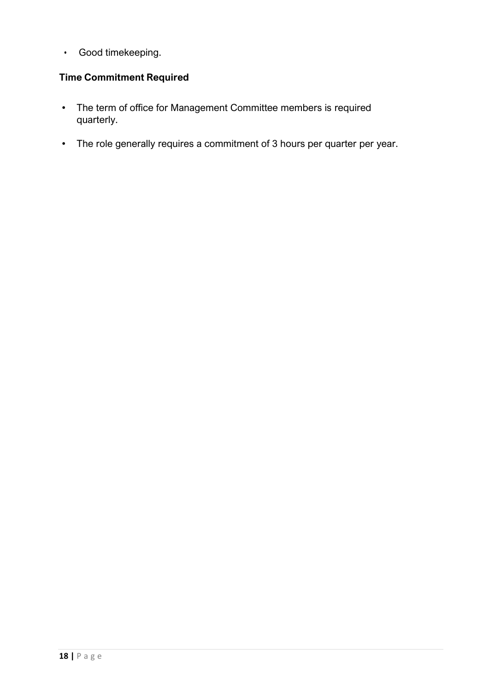• Good timekeeping.

# **Time Commitment Required**

- The term of office for Management Committee members is required quarterly.
- The role generally requires a commitment of 3 hours per quarter per year.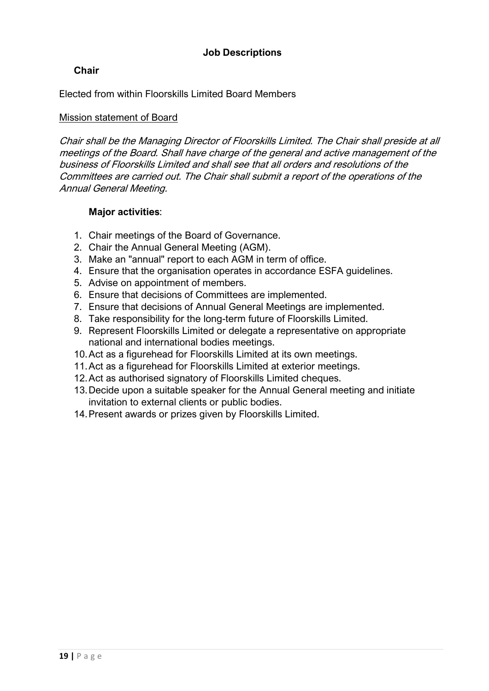# **Job Descriptions**

# **Chair**

Elected from within Floorskills Limited Board Members

# Mission statement of Board

Chair shall be the Managing Director of Floorskills Limited. The Chair shall preside at all meetings of the Board. Shall have charge of the general and active management of the business of Floorskills Limited and shall see that all orders and resolutions of the Committees are carried out. The Chair shall submit a report of the operations of the Annual General Meeting.

# **Major activities**:

- 1. Chair meetings of the Board of Governance.
- 2. Chair the Annual General Meeting (AGM).
- 3. Make an "annual" report to each AGM in term of office.
- 4. Ensure that the organisation operates in accordance ESFA guidelines.
- 5. Advise on appointment of members.
- 6. Ensure that decisions of Committees are implemented.
- 7. Ensure that decisions of Annual General Meetings are implemented.
- 8. Take responsibility for the long-term future of Floorskills Limited.
- 9. Represent Floorskills Limited or delegate a representative on appropriate national and international bodies meetings.
- 10.Act as a figurehead for Floorskills Limited at its own meetings.
- 11.Act as a figurehead for Floorskills Limited at exterior meetings.
- 12.Act as authorised signatory of Floorskills Limited cheques.
- 13.Decide upon a suitable speaker for the Annual General meeting and initiate invitation to external clients or public bodies.
- 14.Present awards or prizes given by Floorskills Limited.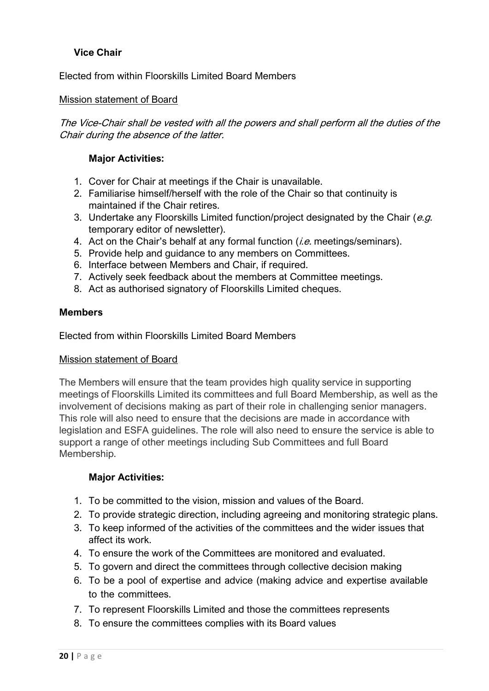# **Vice Chair**

Elected from within Floorskills Limited Board Members

# Mission statement of Board

The Vice-Chair shall be vested with all the powers and shall perform all the duties of the Chair during the absence of the latter.

# **Major Activities:**

- 1. Cover for Chair at meetings if the Chair is unavailable.
- 2. Familiarise himself/herself with the role of the Chair so that continuity is maintained if the Chair retires.
- 3. Undertake any Floorskills Limited function/project designated by the Chair ( $e.g.$ temporary editor of newsletter).
- 4. Act on the Chair's behalf at any formal function (*i.e.* meetings/seminars).
- 5. Provide help and guidance to any members on Committees.
- 6. Interface between Members and Chair, if required.
- 7. Actively seek feedback about the members at Committee meetings.
- 8. Act as authorised signatory of Floorskills Limited cheques.

# **Members**

Elected from within Floorskills Limited Board Members

# Mission statement of Board

The Members will ensure that the team provides high quality service in supporting meetings of Floorskills Limited its committees and full Board Membership, as well as the involvement of decisions making as part of their role in challenging senior managers. This role will also need to ensure that the decisions are made in accordance with legislation and ESFA guidelines. The role will also need to ensure the service is able to support a range of other meetings including Sub Committees and full Board Membership.

# **Major Activities:**

- 1. To be committed to the vision, mission and values of the Board.
- 2. To provide strategic direction, including agreeing and monitoring strategic plans.
- 3. To keep informed of the activities of the committees and the wider issues that affect its work.
- 4. To ensure the work of the Committees are monitored and evaluated.
- 5. To govern and direct the committees through collective decision making
- 6. To be a pool of expertise and advice (making advice and expertise available to the committees.
- 7. To represent Floorskills Limited and those the committees represents
- 8. To ensure the committees complies with its Board values